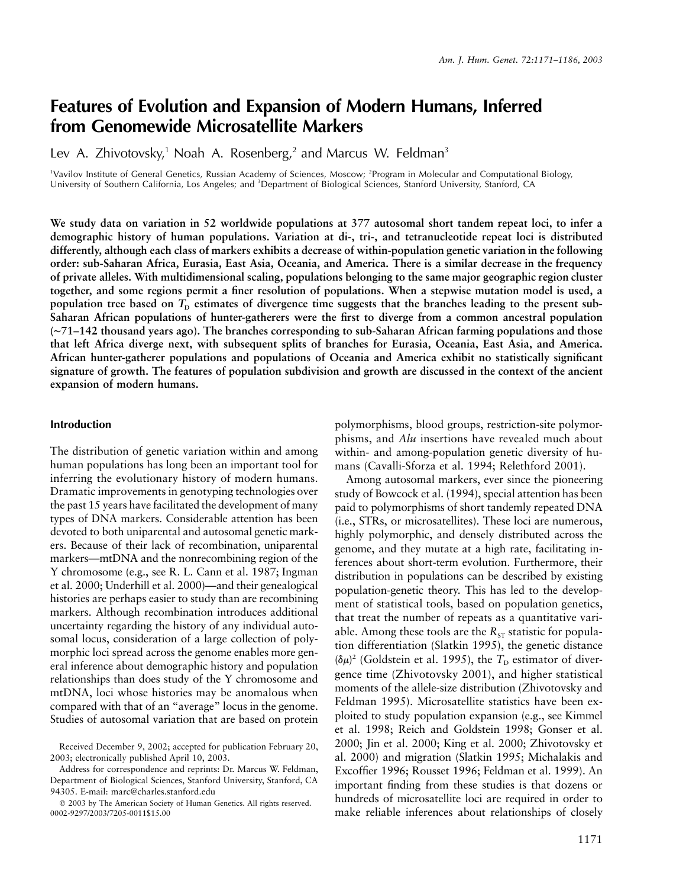# **Features of Evolution and Expansion of Modern Humans, Inferred from Genomewide Microsatellite Markers**

Lev A. Zhivotovsky,<sup>1</sup> Noah A. Rosenberg,<sup>2</sup> and Marcus W. Feldman<sup>3</sup>

<sup>1</sup>Vavilov Institute of General Genetics, Russian Academy of Sciences, Moscow; <sup>2</sup>Program in Molecular and Computational Biology, University of Southern California, Los Angeles; and <sup>3</sup>Department of Biological Sciences, Stanford University, Stanford, CA

**We study data on variation in 52 worldwide populations at 377 autosomal short tandem repeat loci, to infer a demographic history of human populations. Variation at di-, tri-, and tetranucleotide repeat loci is distributed differently, although each class of markers exhibits a decrease of within-population genetic variation in the following order: sub-Saharan Africa, Eurasia, East Asia, Oceania, and America. There is a similar decrease in the frequency of private alleles. With multidimensional scaling, populations belonging to the same major geographic region cluster together, and some regions permit a finer resolution of populations. When a stepwise mutation model is used, a** population tree based on  $T<sub>D</sub>$  estimates of divergence time suggests that the branches leading to the present sub-**Saharan African populations of hunter-gatherers were the first to diverge from a common ancestral population (**∼**71–142 thousand years ago). The branches corresponding to sub-Saharan African farming populations and those that left Africa diverge next, with subsequent splits of branches for Eurasia, Oceania, East Asia, and America. African hunter-gatherer populations and populations of Oceania and America exhibit no statistically significant signature of growth. The features of population subdivision and growth are discussed in the context of the ancient expansion of modern humans.**

## **Introduction**

The distribution of genetic variation within and among human populations has long been an important tool for inferring the evolutionary history of modern humans. Dramatic improvements in genotyping technologies over the past 15 years have facilitated the development of many types of DNA markers. Considerable attention has been devoted to both uniparental and autosomal genetic markers. Because of their lack of recombination, uniparental markers—mtDNA and the nonrecombining region of the Y chromosome (e.g., see R. L. Cann et al. 1987; Ingman et al. 2000; Underhill et al. 2000)—and their genealogical histories are perhaps easier to study than are recombining markers. Although recombination introduces additional uncertainty regarding the history of any individual autosomal locus, consideration of a large collection of polymorphic loci spread across the genome enables more general inference about demographic history and population relationships than does study of the Y chromosome and mtDNA, loci whose histories may be anomalous when compared with that of an "average" locus in the genome. Studies of autosomal variation that are based on protein

Address for correspondence and reprints: Dr. Marcus W. Feldman, Department of Biological Sciences, Stanford University, Stanford, CA 94305. E-mail: marc@charles.stanford.edu

polymorphisms, blood groups, restriction-site polymorphisms, and *Alu* insertions have revealed much about within- and among-population genetic diversity of humans (Cavalli-Sforza et al. 1994; Relethford 2001).

Among autosomal markers, ever since the pioneering study of Bowcock et al. (1994), special attention has been paid to polymorphisms of short tandemly repeated DNA (i.e., STRs, or microsatellites). These loci are numerous, highly polymorphic, and densely distributed across the genome, and they mutate at a high rate, facilitating inferences about short-term evolution. Furthermore, their distribution in populations can be described by existing population-genetic theory. This has led to the development of statistical tools, based on population genetics, that treat the number of repeats as a quantitative variable. Among these tools are the  $R_{ST}$  statistic for population differentiation (Slatkin 1995), the genetic distance  $(\delta \mu)^2$  (Goldstein et al. 1995), the  $T<sub>D</sub>$  estimator of divergence time (Zhivotovsky 2001), and higher statistical moments of the allele-size distribution (Zhivotovsky and Feldman 1995). Microsatellite statistics have been exploited to study population expansion (e.g., see Kimmel et al. 1998; Reich and Goldstein 1998; Gonser et al. 2000; Jin et al. 2000; King et al. 2000; Zhivotovsky et al. 2000) and migration (Slatkin 1995; Michalakis and Excoffier 1996; Rousset 1996; Feldman et al. 1999). An important finding from these studies is that dozens or hundreds of microsatellite loci are required in order to make reliable inferences about relationships of closely

Received December 9, 2002; accepted for publication February 20, 2003; electronically published April 10, 2003.

2003 by The American Society of Human Genetics. All rights reserved. 0002-9297/2003/7205-0011\$15.00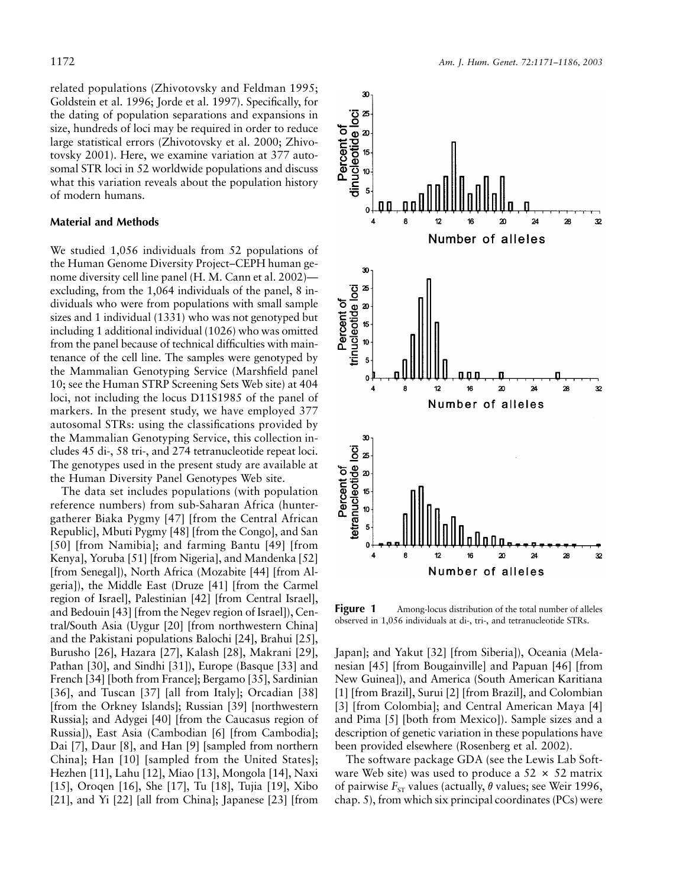related populations (Zhivotovsky and Feldman 1995; Goldstein et al. 1996; Jorde et al. 1997). Specifically, for the dating of population separations and expansions in size, hundreds of loci may be required in order to reduce large statistical errors (Zhivotovsky et al. 2000; Zhivotovsky 2001). Here, we examine variation at 377 autosomal STR loci in 52 worldwide populations and discuss what this variation reveals about the population history of modern humans.

# **Material and Methods**

We studied 1,056 individuals from 52 populations of the Human Genome Diversity Project–CEPH human genome diversity cell line panel (H. M. Cann et al. 2002) excluding, from the 1,064 individuals of the panel, 8 individuals who were from populations with small sample sizes and 1 individual (1331) who was not genotyped but including 1 additional individual (1026) who was omitted from the panel because of technical difficulties with maintenance of the cell line. The samples were genotyped by the Mammalian Genotyping Service (Marshfield panel 10; see the Human STRP Screening Sets Web site) at 404 loci, not including the locus D11S1985 of the panel of markers. In the present study, we have employed 377 autosomal STRs: using the classifications provided by the Mammalian Genotyping Service, this collection includes 45 di-, 58 tri-, and 274 tetranucleotide repeat loci. The genotypes used in the present study are available at the Human Diversity Panel Genotypes Web site.

The data set includes populations (with population reference numbers) from sub-Saharan Africa (huntergatherer Biaka Pygmy [47] [from the Central African Republic], Mbuti Pygmy [48] [from the Congo], and San [50] [from Namibia]; and farming Bantu [49] [from Kenya], Yoruba [51] [from Nigeria], and Mandenka [52] [from Senegal]), North Africa (Mozabite [44] [from Algeria]), the Middle East (Druze [41] [from the Carmel region of Israel], Palestinian [42] [from Central Israel], and Bedouin [43] [from the Negev region of Israel]), Central/South Asia (Uygur [20] [from northwestern China] and the Pakistani populations Balochi [24], Brahui [25], Burusho [26], Hazara [27], Kalash [28], Makrani [29], Pathan [30], and Sindhi [31]), Europe (Basque [33] and French [34] [both from France]; Bergamo [35], Sardinian [36], and Tuscan [37] [all from Italy]; Orcadian [38] [from the Orkney Islands]; Russian [39] [northwestern Russia]; and Adygei [40] [from the Caucasus region of Russia]), East Asia (Cambodian [6] [from Cambodia]; Dai [7], Daur [8], and Han [9] [sampled from northern China]; Han [10] [sampled from the United States]; Hezhen [11], Lahu [12], Miao [13], Mongola [14], Naxi [15], Oroqen [16], She [17], Tu [18], Tujia [19], Xibo [21], and Yi [22] [all from China]; Japanese [23] [from



**Figure 1** Among-locus distribution of the total number of alleles observed in 1,056 individuals at di-, tri-, and tetranucleotide STRs.

Japan]; and Yakut [32] [from Siberia]), Oceania (Melanesian [45] [from Bougainville] and Papuan [46] [from New Guinea]), and America (South American Karitiana [1] [from Brazil], Surui [2] [from Brazil], and Colombian [3] [from Colombia]; and Central American Maya [4] and Pima [5] [both from Mexico]). Sample sizes and a description of genetic variation in these populations have been provided elsewhere (Rosenberg et al. 2002).

The software package GDA (see the Lewis Lab Software Web site) was used to produce a  $52 \times 52$  matrix of pairwise  $F_{ST}$  values (actually,  $\theta$  values; see Weir 1996, chap. 5), from which six principal coordinates (PCs) were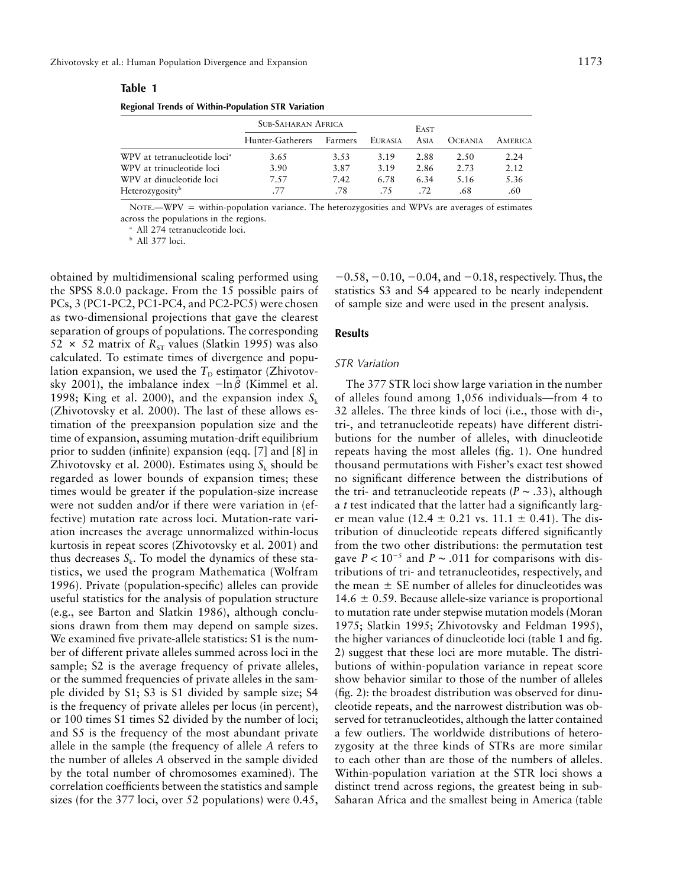|  | <b>Regional Trends of Within-Population STR Variation</b> |  |  |
|--|-----------------------------------------------------------|--|--|
|  |                                                           |  |  |

|                                          | <b>SUB-SAHARAN AFRICA</b> |         | <b>EAST</b> |      |                |         |
|------------------------------------------|---------------------------|---------|-------------|------|----------------|---------|
|                                          | Hunter-Gatherers          | Farmers | EURASIA     | ASIA | <b>OCEANIA</b> | AMERICA |
| WPV at tetranucleotide loci <sup>a</sup> | 3.65                      | 3.53    | 3.19        | 2.88 | 2.50           | 2.24    |
| WPV at trinucleotide loci                | 3.90                      | 3.87    | 3.19        | 2.86 | 2.73           | 2.12    |
| WPV at dinucleotide loci                 | 7.57                      | 7.42    | 6.78        | 6.34 | 5.16           | 5.36    |
| Heterozygosity <sup>b</sup>              | 77                        | .78     | .75         | 72   | .68            | .60     |

NOTE.—WPV = within-population variance. The heterozygosities and WPVs are averages of estimates across the populations in the regions.

<sup>a</sup> All 274 tetranucleotide loci.

<sup>b</sup> All 377 loci.

obtained by multidimensional scaling performed using the SPSS 8.0.0 package. From the 15 possible pairs of PCs, 3 (PC1-PC2, PC1-PC4, and PC2-PC5) were chosen as two-dimensional projections that gave the clearest separation of groups of populations. The corresponding 52  $\times$  52 matrix of  $R_{ST}$  values (Slatkin 1995) was also calculated. To estimate times of divergence and population expansion, we used the  $T<sub>D</sub>$  estimator (Zhivotovsky 2001), the imbalance index  $-\ln \beta$  (Kimmel et al. 1998; King et al. 2000), and the expansion index  $S_k$ (Zhivotovsky et al. 2000). The last of these allows estimation of the preexpansion population size and the time of expansion, assuming mutation-drift equilibrium prior to sudden (infinite) expansion (eqq. [7] and [8] in Zhivotovsky et al. 2000). Estimates using  $S_k$  should be regarded as lower bounds of expansion times; these times would be greater if the population-size increase were not sudden and/or if there were variation in (effective) mutation rate across loci. Mutation-rate variation increases the average unnormalized within-locus kurtosis in repeat scores (Zhivotovsky et al. 2001) and thus decreases  $S_k$ . To model the dynamics of these statistics, we used the program Mathematica (Wolfram 1996). Private (population-specific) alleles can provide useful statistics for the analysis of population structure (e.g., see Barton and Slatkin 1986), although conclusions drawn from them may depend on sample sizes. We examined five private-allele statistics: S1 is the number of different private alleles summed across loci in the sample; S2 is the average frequency of private alleles, or the summed frequencies of private alleles in the sample divided by S1; S3 is S1 divided by sample size; S4 is the frequency of private alleles per locus (in percent), or 100 times S1 times S2 divided by the number of loci; and S5 is the frequency of the most abundant private allele in the sample (the frequency of allele *A* refers to the number of alleles *A* observed in the sample divided by the total number of chromosomes examined). The correlation coefficients between the statistics and sample sizes (for the 377 loci, over 52 populations) were 0.45,

 $-0.58, -0.10, -0.04,$  and  $-0.18$ , respectively. Thus, the statistics S3 and S4 appeared to be nearly independent of sample size and were used in the present analysis.

#### **Results**

#### *STR Variation*

The 377 STR loci show large variation in the number of alleles found among 1,056 individuals—from 4 to 32 alleles. The three kinds of loci (i.e., those with di-, tri-, and tetranucleotide repeats) have different distributions for the number of alleles, with dinucleotide repeats having the most alleles (fig. 1). One hundred thousand permutations with Fisher's exact test showed no significant difference between the distributions of the tri- and tetranucleotide repeats  $(P \sim .33)$ , although a *t* test indicated that the latter had a significantly larger mean value (12.4  $\pm$  0.21 vs. 11.1  $\pm$  0.41). The distribution of dinucleotide repeats differed significantly from the two other distributions: the permutation test gave  $P < 10^{-5}$  and  $P \sim .011$  for comparisons with distributions of tri- and tetranucleotides, respectively, and the mean  $\pm$  SE number of alleles for dinucleotides was 14.6  $\pm$  0.59. Because allele-size variance is proportional to mutation rate under stepwise mutation models (Moran 1975; Slatkin 1995; Zhivotovsky and Feldman 1995), the higher variances of dinucleotide loci (table 1 and fig. 2) suggest that these loci are more mutable. The distributions of within-population variance in repeat score show behavior similar to those of the number of alleles (fig. 2): the broadest distribution was observed for dinucleotide repeats, and the narrowest distribution was observed for tetranucleotides, although the latter contained a few outliers. The worldwide distributions of heterozygosity at the three kinds of STRs are more similar to each other than are those of the numbers of alleles. Within-population variation at the STR loci shows a distinct trend across regions, the greatest being in sub-Saharan Africa and the smallest being in America (table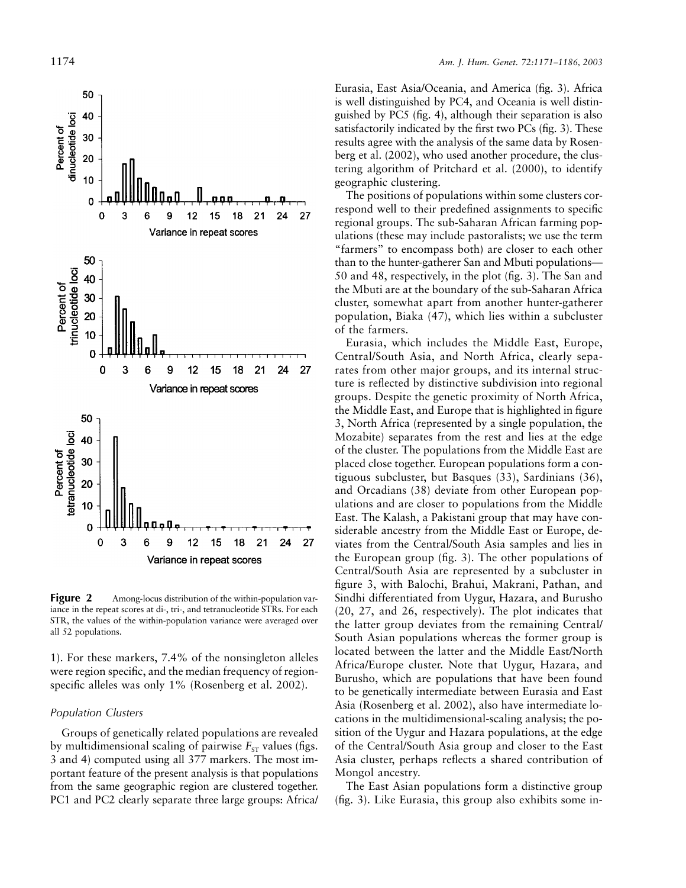

**Figure 2** Among-locus distribution of the within-population variance in the repeat scores at di-, tri-, and tetranucleotide STRs. For each STR, the values of the within-population variance were averaged over all 52 populations.

1). For these markers, 7.4% of the nonsingleton alleles were region specific, and the median frequency of regionspecific alleles was only 1% (Rosenberg et al. 2002).

#### *Population Clusters*

Groups of genetically related populations are revealed by multidimensional scaling of pairwise  $F_{ST}$  values (figs. 3 and 4) computed using all 377 markers. The most important feature of the present analysis is that populations from the same geographic region are clustered together. PC1 and PC2 clearly separate three large groups: Africa/

Eurasia, East Asia/Oceania, and America (fig. 3). Africa is well distinguished by PC4, and Oceania is well distinguished by PC5 (fig. 4), although their separation is also satisfactorily indicated by the first two PCs (fig. 3). These results agree with the analysis of the same data by Rosenberg et al. (2002), who used another procedure, the clustering algorithm of Pritchard et al. (2000), to identify geographic clustering.

The positions of populations within some clusters correspond well to their predefined assignments to specific regional groups. The sub-Saharan African farming populations (these may include pastoralists; we use the term "farmers" to encompass both) are closer to each other than to the hunter-gatherer San and Mbuti populations— 50 and 48, respectively, in the plot (fig. 3). The San and the Mbuti are at the boundary of the sub-Saharan Africa cluster, somewhat apart from another hunter-gatherer population, Biaka (47), which lies within a subcluster of the farmers.

Eurasia, which includes the Middle East, Europe, Central/South Asia, and North Africa, clearly separates from other major groups, and its internal structure is reflected by distinctive subdivision into regional groups. Despite the genetic proximity of North Africa, the Middle East, and Europe that is highlighted in figure 3, North Africa (represented by a single population, the Mozabite) separates from the rest and lies at the edge of the cluster. The populations from the Middle East are placed close together. European populations form a contiguous subcluster, but Basques (33), Sardinians (36), and Orcadians (38) deviate from other European populations and are closer to populations from the Middle East. The Kalash, a Pakistani group that may have considerable ancestry from the Middle East or Europe, deviates from the Central/South Asia samples and lies in the European group (fig. 3). The other populations of Central/South Asia are represented by a subcluster in figure 3, with Balochi, Brahui, Makrani, Pathan, and Sindhi differentiated from Uygur, Hazara, and Burusho (20, 27, and 26, respectively). The plot indicates that the latter group deviates from the remaining Central/ South Asian populations whereas the former group is located between the latter and the Middle East/North Africa/Europe cluster. Note that Uygur, Hazara, and Burusho, which are populations that have been found to be genetically intermediate between Eurasia and East Asia (Rosenberg et al. 2002), also have intermediate locations in the multidimensional-scaling analysis; the position of the Uygur and Hazara populations, at the edge of the Central/South Asia group and closer to the East Asia cluster, perhaps reflects a shared contribution of Mongol ancestry.

The East Asian populations form a distinctive group (fig. 3). Like Eurasia, this group also exhibits some in-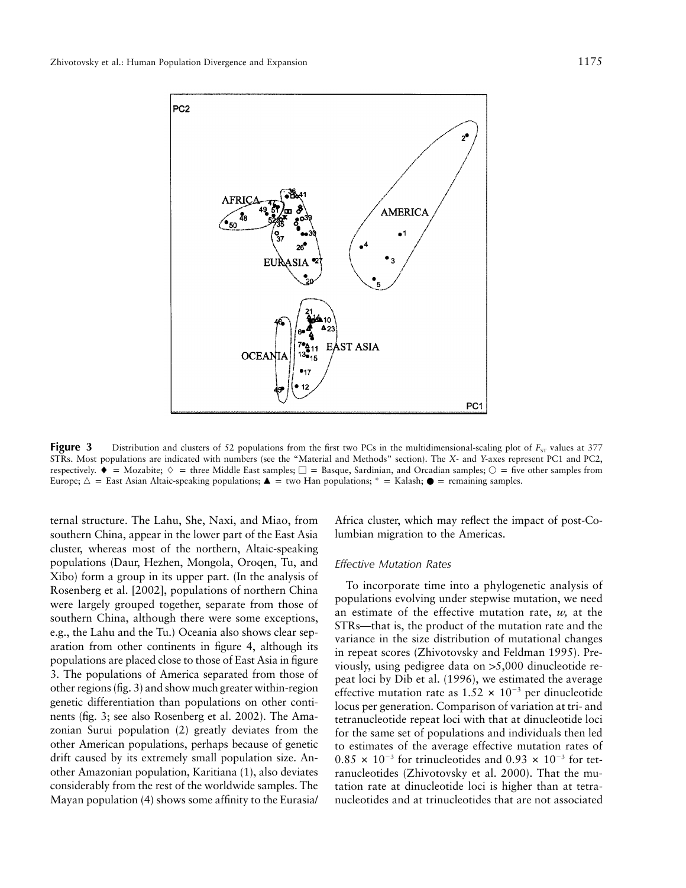

**Figure 3** Distribution and clusters of 52 populations from the first two PCs in the multidimensional-scaling plot of  $F_{ST}$  values at 377 STRs. Most populations are indicated with numbers (see the "Material and Methods" section). The *X-* and *Y-*axes represent PC1 and PC2, respectively.  $\blacklozenge = \text{Mozabite}; \ \lozenge = \text{three Middle East samples}; \ \square = \text{Basque, Sardinian, and Orcadian samples}; \ \lozenge = \text{five other samples from}$ Europe;  $\triangle$  = East Asian Altaic-speaking populations;  $\blacktriangle$  = two Han populations; \* = Kalash;  $\blacklozenge$  = remaining samples.

ternal structure. The Lahu, She, Naxi, and Miao, from southern China, appear in the lower part of the East Asia cluster, whereas most of the northern, Altaic-speaking populations (Daur, Hezhen, Mongola, Oroqen, Tu, and Xibo) form a group in its upper part. (In the analysis of Rosenberg et al. [2002], populations of northern China were largely grouped together, separate from those of southern China, although there were some exceptions, e.g., the Lahu and the Tu.) Oceania also shows clear separation from other continents in figure 4, although its populations are placed close to those of East Asia in figure 3. The populations of America separated from those of other regions (fig. 3) and show much greater within-region genetic differentiation than populations on other continents (fig. 3; see also Rosenberg et al. 2002). The Amazonian Surui population (2) greatly deviates from the other American populations, perhaps because of genetic drift caused by its extremely small population size. Another Amazonian population, Karitiana (1), also deviates considerably from the rest of the worldwide samples. The Mayan population (4) shows some affinity to the Eurasia/

Africa cluster, which may reflect the impact of post-Columbian migration to the Americas.

#### *Effective Mutation Rates*

To incorporate time into a phylogenetic analysis of populations evolving under stepwise mutation, we need an estimate of the effective mutation rate, *w,* at the STRs—that is, the product of the mutation rate and the variance in the size distribution of mutational changes in repeat scores (Zhivotovsky and Feldman 1995). Previously, using pedigree data on  $>5,000$  dinucleotide repeat loci by Dib et al. (1996), we estimated the average effective mutation rate as  $1.52 \times 10^{-3}$  per dinucleotide locus per generation. Comparison of variation at tri- and tetranucleotide repeat loci with that at dinucleotide loci for the same set of populations and individuals then led to estimates of the average effective mutation rates of  $0.85 \times 10^{-3}$  for trinucleotides and  $0.93 \times 10^{-3}$  for tetranucleotides (Zhivotovsky et al. 2000). That the mutation rate at dinucleotide loci is higher than at tetranucleotides and at trinucleotides that are not associated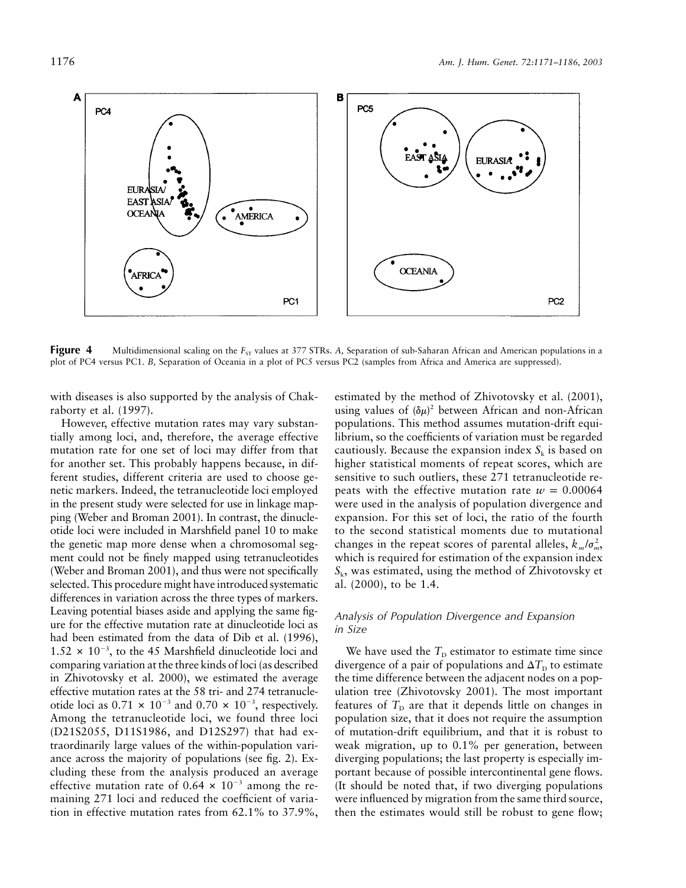

Figure 4 Multidimensional scaling on the *F<sub>ST</sub>* values at 377 STRs. A, Separation of sub-Saharan African and American populations in a plot of PC4 versus PC1. *B,* Separation of Oceania in a plot of PC5 versus PC2 (samples from Africa and America are suppressed).

with diseases is also supported by the analysis of Chakraborty et al. (1997).

However, effective mutation rates may vary substantially among loci, and, therefore, the average effective mutation rate for one set of loci may differ from that for another set. This probably happens because, in different studies, different criteria are used to choose genetic markers. Indeed, the tetranucleotide loci employed in the present study were selected for use in linkage mapping (Weber and Broman 2001). In contrast, the dinucleotide loci were included in Marshfield panel 10 to make the genetic map more dense when a chromosomal segment could not be finely mapped using tetranucleotides (Weber and Broman 2001), and thus were not specifically selected. This procedure might have introduced systematic differences in variation across the three types of markers. Leaving potential biases aside and applying the same figure for the effective mutation rate at dinucleotide loci as had been estimated from the data of Dib et al. (1996),  $1.52 \times 10^{-3}$ , to the 45 Marshfield dinucleotide loci and comparing variation at the three kinds of loci (as described in Zhivotovsky et al. 2000), we estimated the average effective mutation rates at the 58 tri- and 274 tetranucleotide loci as  $0.71 \times 10^{-3}$  and  $0.70 \times 10^{-3}$ , respectively. Among the tetranucleotide loci, we found three loci (D21S2055, D11S1986, and D12S297) that had extraordinarily large values of the within-population variance across the majority of populations (see fig. 2). Excluding these from the analysis produced an average effective mutation rate of  $0.64 \times 10^{-3}$  among the remaining 271 loci and reduced the coefficient of variation in effective mutation rates from 62.1% to 37.9%,

estimated by the method of Zhivotovsky et al. (2001), using values of  $({\delta\mu})^2$  between African and non-African populations. This method assumes mutation-drift equilibrium, so the coefficients of variation must be regarded cautiously. Because the expansion index  $S_k$  is based on higher statistical moments of repeat scores, which are sensitive to such outliers, these 271 tetranucleotide repeats with the effective mutation rate  $w = 0.00064$ were used in the analysis of population divergence and expansion. For this set of loci, the ratio of the fourth to the second statistical moments due to mutational changes in the repeat scores of parental alleles,  $k_m / \sigma_m^2$ , which is required for estimation of the expansion index *S*k, was estimated, using the method of Zhivotovsky et al. (2000), to be 1.4.

# *Analysis of Population Divergence and Expansion in Size*

We have used the  $T<sub>D</sub>$  estimator to estimate time since divergence of a pair of populations and  $\Delta T_{\rm D}$  to estimate the time difference between the adjacent nodes on a population tree (Zhivotovsky 2001). The most important features of  $T<sub>D</sub>$  are that it depends little on changes in population size, that it does not require the assumption of mutation-drift equilibrium, and that it is robust to weak migration, up to 0.1% per generation, between diverging populations; the last property is especially important because of possible intercontinental gene flows. (It should be noted that, if two diverging populations were influenced by migration from the same third source, then the estimates would still be robust to gene flow;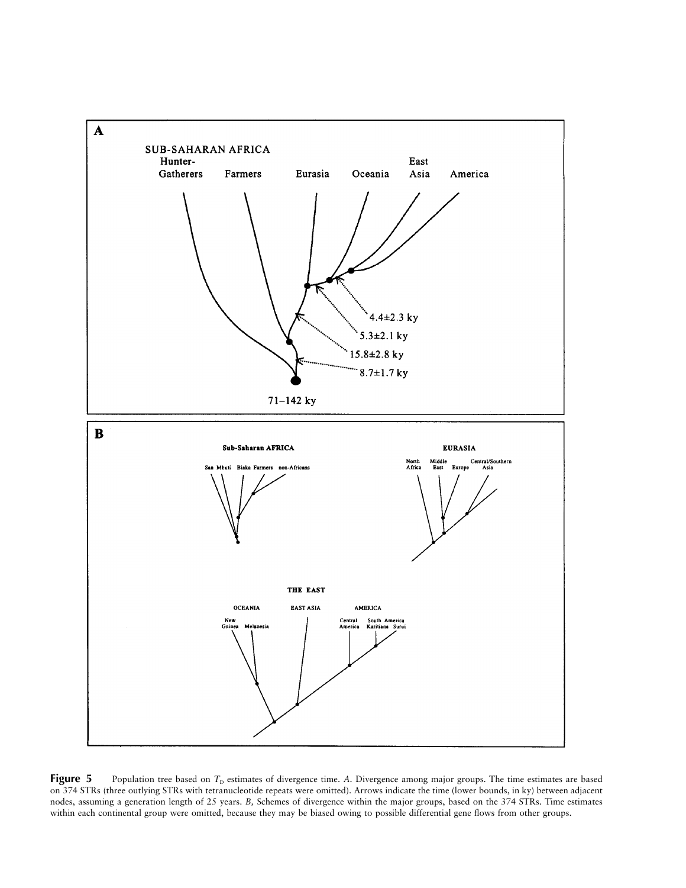

Figure 5 Population tree based on T<sub>D</sub> estimates of divergence time. A. Divergence among major groups. The time estimates are based on 374 STRs (three outlying STRs with tetranucleotide repeats were omitted). Arrows indicate the time (lower bounds, in ky) between adjacent nodes, assuming a generation length of 25 years. *B,* Schemes of divergence within the major groups, based on the 374 STRs. Time estimates within each continental group were omitted, because they may be biased owing to possible differential gene flows from other groups.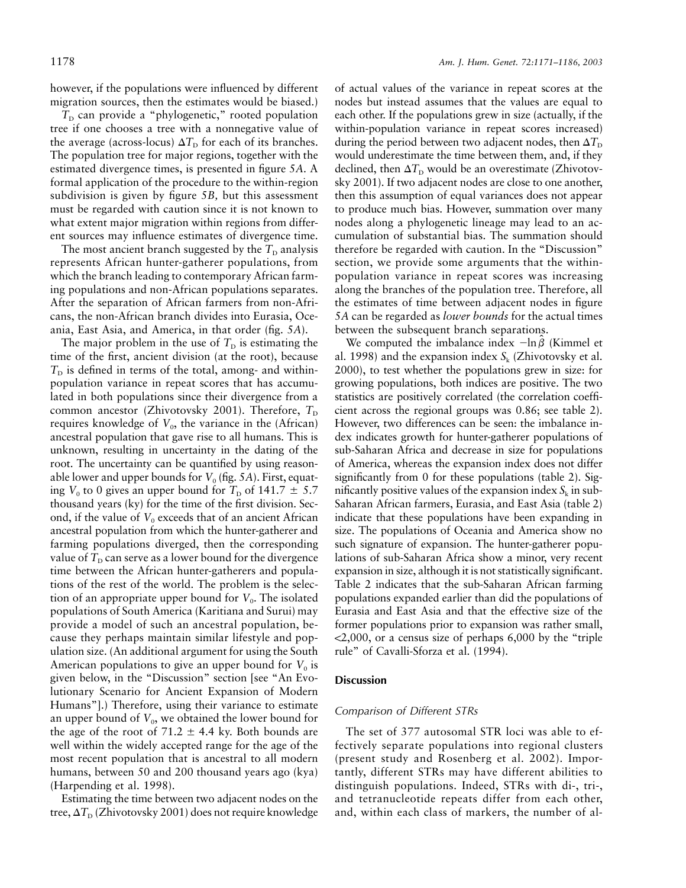however, if the populations were influenced by different migration sources, then the estimates would be biased.)

 $T_{\rm D}$  can provide a "phylogenetic," rooted population tree if one chooses a tree with a nonnegative value of the average (across-locus)  $\Delta T_D$  for each of its branches. The population tree for major regions, together with the estimated divergence times, is presented in figure 5*A.* A formal application of the procedure to the within-region subdivision is given by figure 5*B,* but this assessment must be regarded with caution since it is not known to what extent major migration within regions from different sources may influence estimates of divergence time.

The most ancient branch suggested by the  $T<sub>D</sub>$  analysis represents African hunter-gatherer populations, from which the branch leading to contemporary African farming populations and non-African populations separates. After the separation of African farmers from non-Africans, the non-African branch divides into Eurasia, Oceania, East Asia, and America, in that order (fig. 5*A*).

The major problem in the use of  $T<sub>D</sub>$  is estimating the time of the first, ancient division (at the root), because  $T<sub>D</sub>$  is defined in terms of the total, among- and withinpopulation variance in repeat scores that has accumulated in both populations since their divergence from a common ancestor (Zhivotovsky 2001). Therefore,  $T<sub>D</sub>$ requires knowledge of  $V_0$ , the variance in the (African) ancestral population that gave rise to all humans. This is unknown, resulting in uncertainty in the dating of the root. The uncertainty can be quantified by using reasonable lower and upper bounds for  $V_0$  (fig. 5A). First, equating  $V_0$  to 0 gives an upper bound for  $T_D$  of  $141.7 \pm 5.7$ thousand years (ky) for the time of the first division. Second, if the value of  $V_0$  exceeds that of an ancient African ancestral population from which the hunter-gatherer and farming populations diverged, then the corresponding value of  $T<sub>D</sub>$  can serve as a lower bound for the divergence time between the African hunter-gatherers and populations of the rest of the world. The problem is the selection of an appropriate upper bound for  $V_0$ . The isolated populations of South America (Karitiana and Surui) may provide a model of such an ancestral population, because they perhaps maintain similar lifestyle and population size. (An additional argument for using the South American populations to give an upper bound for  $V_0$  is given below, in the "Discussion" section [see "An Evolutionary Scenario for Ancient Expansion of Modern Humans"].) Therefore, using their variance to estimate an upper bound of  $V_0$ , we obtained the lower bound for the age of the root of  $71.2 \pm 4.4$  ky. Both bounds are well within the widely accepted range for the age of the most recent population that is ancestral to all modern humans, between 50 and 200 thousand years ago (kya) (Harpending et al. 1998).

Estimating the time between two adjacent nodes on the tree,  $\Delta T_{\rm D}$  (Zhivotovsky 2001) does not require knowledge

of actual values of the variance in repeat scores at the nodes but instead assumes that the values are equal to each other. If the populations grew in size (actually, if the within-population variance in repeat scores increased) during the period between two adjacent nodes, then  $\Delta T_D$ would underestimate the time between them, and, if they declined, then  $\Delta T$ <sub>D</sub> would be an overestimate (Zhivotovsky 2001). If two adjacent nodes are close to one another, then this assumption of equal variances does not appear to produce much bias. However, summation over many nodes along a phylogenetic lineage may lead to an accumulation of substantial bias. The summation should therefore be regarded with caution. In the "Discussion" section, we provide some arguments that the withinpopulation variance in repeat scores was increasing along the branches of the population tree. Therefore, all the estimates of time between adjacent nodes in figure 5*A* can be regarded as *lower bounds* for the actual times between the subsequent branch separations.

We computed the imbalance index  $-\ln \beta$  (Kimmel et al. 1998) and the expansion index  $S_k$  (Zhivotovsky et al. 2000), to test whether the populations grew in size: for growing populations, both indices are positive. The two statistics are positively correlated (the correlation coefficient across the regional groups was 0.86; see table 2). However, two differences can be seen: the imbalance index indicates growth for hunter-gatherer populations of sub-Saharan Africa and decrease in size for populations of America, whereas the expansion index does not differ significantly from 0 for these populations (table 2). Significantly positive values of the expansion index  $S_k$  in sub-Saharan African farmers, Eurasia, and East Asia (table 2) indicate that these populations have been expanding in size. The populations of Oceania and America show no such signature of expansion. The hunter-gatherer populations of sub-Saharan Africa show a minor, very recent expansion in size, although it is not statistically significant. Table 2 indicates that the sub-Saharan African farming populations expanded earlier than did the populations of Eurasia and East Asia and that the effective size of the former populations prior to expansion was rather small,  $\langle 2,000, \text{ or a census size of perhaps } 6,000 \text{ by the "triple}$ rule" of Cavalli-Sforza et al. (1994).

#### **Discussion**

## *Comparison of Different STRs*

The set of 377 autosomal STR loci was able to effectively separate populations into regional clusters (present study and Rosenberg et al. 2002). Importantly, different STRs may have different abilities to distinguish populations. Indeed, STRs with di-, tri-, and tetranucleotide repeats differ from each other, and, within each class of markers, the number of al-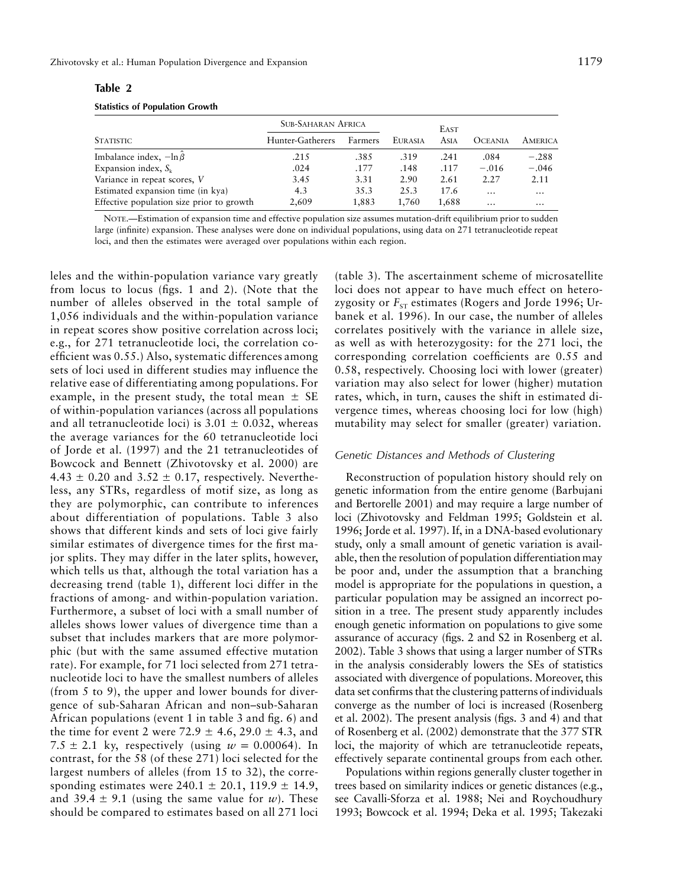| <b>Statistics of Population Growth</b> |  |  |  |
|----------------------------------------|--|--|--|
|----------------------------------------|--|--|--|

|                                                                                | <b>SUB-SAHARAN AFRICA</b> |               | EAST           |               |                |          |
|--------------------------------------------------------------------------------|---------------------------|---------------|----------------|---------------|----------------|----------|
| <b>STATISTIC</b>                                                               | Hunter-Gatherers          | Farmers       | <b>EURASIA</b> | <b>ASIA</b>   | <b>OCEANIA</b> | AMERICA  |
| Imbalance index, $-\ln \beta$                                                  | .215                      | .385          | .319           | .241          | .084           | $-.288$  |
| Expansion index, $S_k$                                                         | .024                      | .177          | .148           | .117          | $-.016$        | $-.046$  |
| Variance in repeat scores, V                                                   | 3.45                      | 3.31          | 2.90           | 2.61          | 2.27           | 2.11     |
| Estimated expansion time (in kya)<br>Effective population size prior to growth | 4.3<br>2,609              | 35.3<br>1,883 | 2.5.3<br>1.760 | 17.6<br>1,688 | $\cdots$       | $\cdots$ |
|                                                                                |                           |               |                |               | $\cdots$       | $\cdots$ |

NOTE.—Estimation of expansion time and effective population size assumes mutation-drift equilibrium prior to sudden large (infinite) expansion. These analyses were done on individual populations, using data on 271 tetranucleotide repeat loci, and then the estimates were averaged over populations within each region.

leles and the within-population variance vary greatly from locus to locus (figs. 1 and 2). (Note that the number of alleles observed in the total sample of 1,056 individuals and the within-population variance in repeat scores show positive correlation across loci; e.g., for 271 tetranucleotide loci, the correlation coefficient was 0.55.) Also, systematic differences among sets of loci used in different studies may influence the relative ease of differentiating among populations. For example, in the present study, the total mean  $\pm$  SE of within-population variances (across all populations and all tetranucleotide loci) is 3.01  $\pm$  0.032, whereas the average variances for the 60 tetranucleotide loci of Jorde et al. (1997) and the 21 tetranucleotides of Bowcock and Bennett (Zhivotovsky et al. 2000) are  $4.43 \pm 0.20$  and  $3.52 \pm 0.17$ , respectively. Nevertheless, any STRs, regardless of motif size, as long as they are polymorphic, can contribute to inferences about differentiation of populations. Table 3 also shows that different kinds and sets of loci give fairly similar estimates of divergence times for the first major splits. They may differ in the later splits, however, which tells us that, although the total variation has a decreasing trend (table 1), different loci differ in the fractions of among- and within-population variation. Furthermore, a subset of loci with a small number of alleles shows lower values of divergence time than a subset that includes markers that are more polymorphic (but with the same assumed effective mutation rate). For example, for 71 loci selected from 271 tetranucleotide loci to have the smallest numbers of alleles (from 5 to 9), the upper and lower bounds for divergence of sub-Saharan African and non–sub-Saharan African populations (event 1 in table 3 and fig. 6) and the time for event 2 were 72.9  $\pm$  4.6, 29.0  $\pm$  4.3, and 7.5  $\pm$  2.1 ky, respectively (using  $w = 0.00064$ ). In contrast, for the 58 (of these 271) loci selected for the largest numbers of alleles (from 15 to 32), the corresponding estimates were 240.1  $\pm$  20.1, 119.9  $\pm$  14.9, and 39.4  $\pm$  9.1 *(using the same value for w)*. These should be compared to estimates based on all 271 loci

(table 3). The ascertainment scheme of microsatellite loci does not appear to have much effect on heterozygosity or  $F_{ST}$  estimates (Rogers and Jorde 1996; Urbanek et al. 1996). In our case, the number of alleles correlates positively with the variance in allele size, as well as with heterozygosity: for the 271 loci, the corresponding correlation coefficients are 0.55 and 0.58, respectively. Choosing loci with lower (greater) variation may also select for lower (higher) mutation rates, which, in turn, causes the shift in estimated divergence times, whereas choosing loci for low (high) mutability may select for smaller (greater) variation.

#### *Genetic Distances and Methods of Clustering*

Reconstruction of population history should rely on genetic information from the entire genome (Barbujani and Bertorelle 2001) and may require a large number of loci (Zhivotovsky and Feldman 1995; Goldstein et al. 1996; Jorde et al. 1997). If, in a DNA-based evolutionary study, only a small amount of genetic variation is available, then the resolution of population differentiation may be poor and, under the assumption that a branching model is appropriate for the populations in question, a particular population may be assigned an incorrect position in a tree. The present study apparently includes enough genetic information on populations to give some assurance of accuracy (figs. 2 and S2 in Rosenberg et al. 2002). Table 3 shows that using a larger number of STRs in the analysis considerably lowers the SEs of statistics associated with divergence of populations. Moreover, this data set confirms that the clustering patterns of individuals converge as the number of loci is increased (Rosenberg et al. 2002). The present analysis (figs. 3 and 4) and that of Rosenberg et al. (2002) demonstrate that the 377 STR loci, the majority of which are tetranucleotide repeats, effectively separate continental groups from each other.

Populations within regions generally cluster together in trees based on similarity indices or genetic distances (e.g., see Cavalli-Sforza et al. 1988; Nei and Roychoudhury 1993; Bowcock et al. 1994; Deka et al. 1995; Takezaki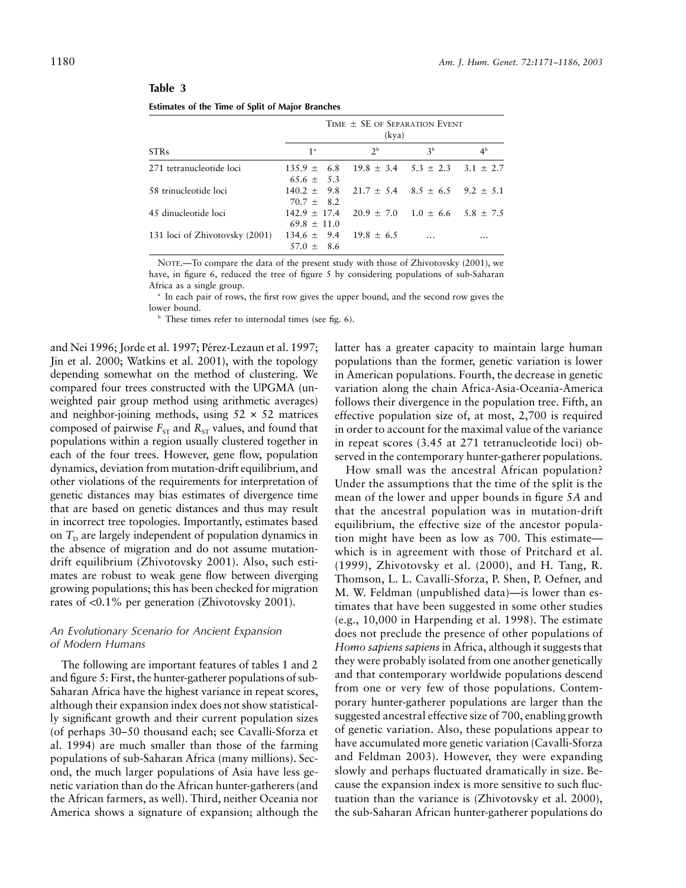|                                | TIME $\pm$ SE OF SEPARATION EVENT<br>(kya) |                                            |                |                |  |  |  |
|--------------------------------|--------------------------------------------|--------------------------------------------|----------------|----------------|--|--|--|
| STRs                           | 1 <sup>a</sup>                             | 2 <sub>b</sub>                             | 3 <sup>b</sup> | 4 <sup>b</sup> |  |  |  |
| 271 tetranucleotide loci       | $135.9 + 6.8$<br>$65.6 \pm 5.3$            | $19.8 \pm 3.4$ $5.3 \pm 2.3$ $3.1 \pm 2.7$ |                |                |  |  |  |
| 58 trinucleotide loci          | $140.2 + 9.8$<br>$70.7 + 8.2$              | $21.7 \pm 5.4$ $8.5 \pm 6.5$ $9.2 \pm 5.1$ |                |                |  |  |  |
| 45 dinucleotide loci           | $142.9 \pm 17.4$<br>$69.8 + 11.0$          | $20.9 \pm 7.0$ $1.0 \pm 6.6$ $5.8 \pm 7.5$ |                |                |  |  |  |
| 131 loci of Zhivotovsky (2001) | $134.6 \pm 9.4$<br>$57.0 \pm 8.6$          | $19.8 + 6.5$                               |                | .              |  |  |  |

NOTE.—To compare the data of the present study with those of Zhivotovsky (2001), we have, in figure 6, reduced the tree of figure 5 by considering populations of sub-Saharan Africa as a single group.

<sup>a</sup> In each pair of rows, the first row gives the upper bound, and the second row gives the lower bound.

 $<sup>b</sup>$  These times refer to internodal times (see fig. 6).</sup>

and Nei 1996; Jorde et al. 1997; Pérez-Lezaun et al. 1997; Jin et al. 2000; Watkins et al. 2001), with the topology depending somewhat on the method of clustering. We compared four trees constructed with the UPGMA (unweighted pair group method using arithmetic averages) and neighbor-joining methods, using  $52 \times 52$  matrices composed of pairwise  $F_{ST}$  and  $R_{ST}$  values, and found that populations within a region usually clustered together in each of the four trees. However, gene flow, population dynamics, deviation from mutation-drift equilibrium, and other violations of the requirements for interpretation of genetic distances may bias estimates of divergence time that are based on genetic distances and thus may result in incorrect tree topologies. Importantly, estimates based on  $T<sub>D</sub>$  are largely independent of population dynamics in the absence of migration and do not assume mutationdrift equilibrium (Zhivotovsky 2001). Also, such estimates are robust to weak gene flow between diverging growing populations; this has been checked for migration rates of  $< 0.1\%$  per generation (Zhivotovsky 2001).

## *An Evolutionary Scenario for Ancient Expansion of Modern Humans*

The following are important features of tables 1 and 2 and figure 5: First, the hunter-gatherer populations of sub-Saharan Africa have the highest variance in repeat scores, although their expansion index does not show statistically significant growth and their current population sizes (of perhaps 30–50 thousand each; see Cavalli-Sforza et al. 1994) are much smaller than those of the farming populations of sub-Saharan Africa (many millions). Second, the much larger populations of Asia have less genetic variation than do the African hunter-gatherers (and the African farmers, as well). Third, neither Oceania nor America shows a signature of expansion; although the

latter has a greater capacity to maintain large human populations than the former, genetic variation is lower in American populations. Fourth, the decrease in genetic variation along the chain Africa-Asia-Oceania-America follows their divergence in the population tree. Fifth, an effective population size of, at most, 2,700 is required in order to account for the maximal value of the variance in repeat scores (3.45 at 271 tetranucleotide loci) observed in the contemporary hunter-gatherer populations.

How small was the ancestral African population? Under the assumptions that the time of the split is the mean of the lower and upper bounds in figure 5*A* and that the ancestral population was in mutation-drift equilibrium, the effective size of the ancestor population might have been as low as 700. This estimate which is in agreement with those of Pritchard et al. (1999), Zhivotovsky et al. (2000), and H. Tang, R. Thomson, L. L. Cavalli-Sforza, P. Shen, P. Oefner, and M. W. Feldman (unpublished data)—is lower than estimates that have been suggested in some other studies (e.g., 10,000 in Harpending et al. 1998). The estimate does not preclude the presence of other populations of *Homo sapiens sapiens* in Africa, although it suggests that they were probably isolated from one another genetically and that contemporary worldwide populations descend from one or very few of those populations. Contemporary hunter-gatherer populations are larger than the suggested ancestral effective size of 700, enabling growth of genetic variation. Also, these populations appear to have accumulated more genetic variation (Cavalli-Sforza and Feldman 2003). However, they were expanding slowly and perhaps fluctuated dramatically in size. Because the expansion index is more sensitive to such fluctuation than the variance is (Zhivotovsky et al. 2000), the sub-Saharan African hunter-gatherer populations do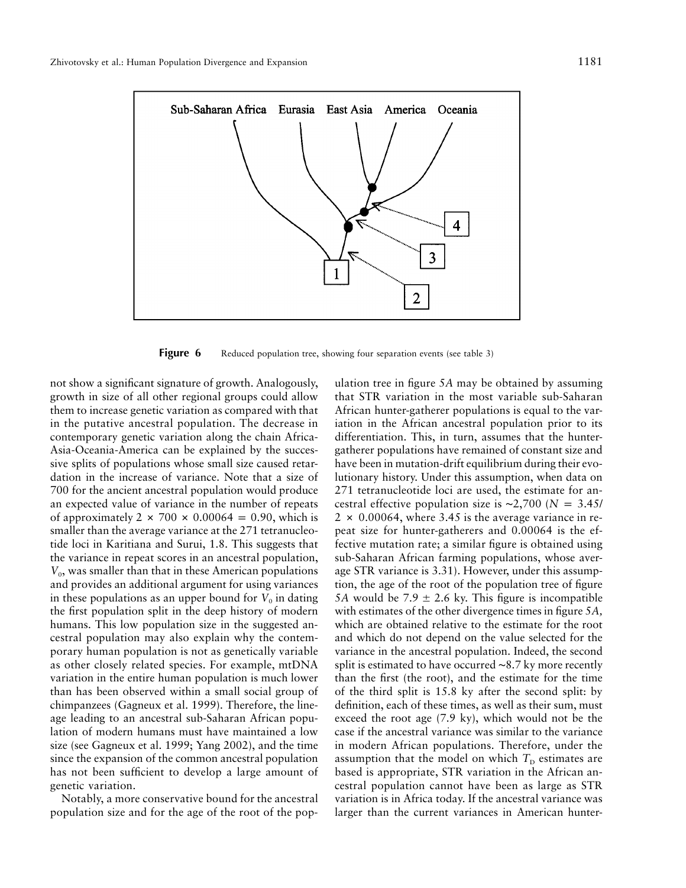

**Figure 6** Reduced population tree, showing four separation events (see table 3)

not show a significant signature of growth. Analogously, growth in size of all other regional groups could allow them to increase genetic variation as compared with that in the putative ancestral population. The decrease in contemporary genetic variation along the chain Africa-Asia-Oceania-America can be explained by the successive splits of populations whose small size caused retardation in the increase of variance. Note that a size of 700 for the ancient ancestral population would produce an expected value of variance in the number of repeats of approximately 2  $\times$  700  $\times$  0.00064 = 0.90, which is smaller than the average variance at the 271 tetranucleotide loci in Karitiana and Surui, 1.8. This suggests that the variance in repeat scores in an ancestral population,  $V_0$ , was smaller than that in these American populations and provides an additional argument for using variances in these populations as an upper bound for  $V_0$  in dating the first population split in the deep history of modern humans. This low population size in the suggested ancestral population may also explain why the contemporary human population is not as genetically variable as other closely related species. For example, mtDNA variation in the entire human population is much lower than has been observed within a small social group of chimpanzees (Gagneux et al. 1999). Therefore, the lineage leading to an ancestral sub-Saharan African population of modern humans must have maintained a low size (see Gagneux et al. 1999; Yang 2002), and the time since the expansion of the common ancestral population has not been sufficient to develop a large amount of genetic variation.

Notably, a more conservative bound for the ancestral population size and for the age of the root of the population tree in figure 5*A* may be obtained by assuming that STR variation in the most variable sub-Saharan African hunter-gatherer populations is equal to the variation in the African ancestral population prior to its differentiation. This, in turn, assumes that the huntergatherer populations have remained of constant size and have been in mutation-drift equilibrium during their evolutionary history. Under this assumption, when data on 271 tetranucleotide loci are used, the estimate for ancestral effective population size is ~2,700 (*N* = 3.45/  $2 \times 0.00064$ , where 3.45 is the average variance in repeat size for hunter-gatherers and 0.00064 is the effective mutation rate; a similar figure is obtained using sub-Saharan African farming populations, whose average STR variance is 3.31). However, under this assumption, the age of the root of the population tree of figure 5A would be  $7.9 \pm 2.6$  ky. This figure is incompatible with estimates of the other divergence times in figure 5*A,* which are obtained relative to the estimate for the root and which do not depend on the value selected for the variance in the ancestral population. Indeed, the second split is estimated to have occurred ∼8.7 ky more recently than the first (the root), and the estimate for the time of the third split is 15.8 ky after the second split: by definition, each of these times, as well as their sum, must exceed the root age (7.9 ky), which would not be the case if the ancestral variance was similar to the variance in modern African populations. Therefore, under the assumption that the model on which  $T<sub>D</sub>$  estimates are based is appropriate, STR variation in the African ancestral population cannot have been as large as STR variation is in Africa today. If the ancestral variance was larger than the current variances in American hunter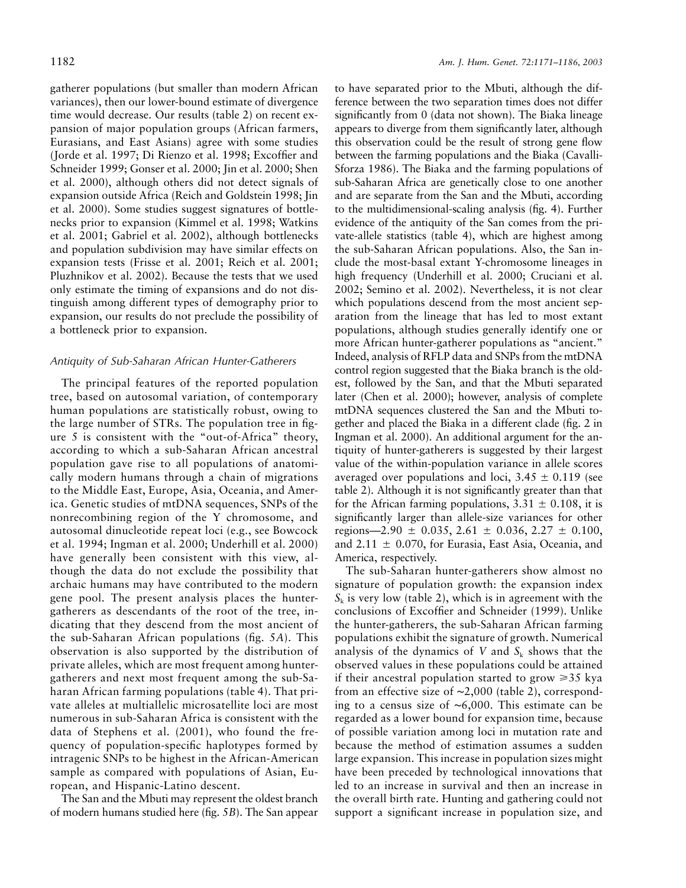gatherer populations (but smaller than modern African variances), then our lower-bound estimate of divergence time would decrease. Our results (table 2) on recent expansion of major population groups (African farmers, Eurasians, and East Asians) agree with some studies (Jorde et al. 1997; Di Rienzo et al. 1998; Excoffier and Schneider 1999; Gonser et al. 2000; Jin et al. 2000; Shen et al. 2000), although others did not detect signals of expansion outside Africa (Reich and Goldstein 1998; Jin et al. 2000). Some studies suggest signatures of bottlenecks prior to expansion (Kimmel et al. 1998; Watkins et al. 2001; Gabriel et al. 2002), although bottlenecks and population subdivision may have similar effects on expansion tests (Frisse et al. 2001; Reich et al. 2001; Pluzhnikov et al. 2002). Because the tests that we used only estimate the timing of expansions and do not distinguish among different types of demography prior to expansion, our results do not preclude the possibility of a bottleneck prior to expansion.

#### *Antiquity of Sub-Saharan African Hunter-Gatherers*

The principal features of the reported population tree, based on autosomal variation, of contemporary human populations are statistically robust, owing to the large number of STRs. The population tree in figure 5 is consistent with the "out-of-Africa" theory, according to which a sub-Saharan African ancestral population gave rise to all populations of anatomically modern humans through a chain of migrations to the Middle East, Europe, Asia, Oceania, and America. Genetic studies of mtDNA sequences, SNPs of the nonrecombining region of the Y chromosome, and autosomal dinucleotide repeat loci (e.g., see Bowcock et al. 1994; Ingman et al. 2000; Underhill et al. 2000) have generally been consistent with this view, although the data do not exclude the possibility that archaic humans may have contributed to the modern gene pool. The present analysis places the huntergatherers as descendants of the root of the tree, indicating that they descend from the most ancient of the sub-Saharan African populations (fig. 5*A*). This observation is also supported by the distribution of private alleles, which are most frequent among huntergatherers and next most frequent among the sub-Saharan African farming populations (table 4). That private alleles at multiallelic microsatellite loci are most numerous in sub-Saharan Africa is consistent with the data of Stephens et al. (2001), who found the frequency of population-specific haplotypes formed by intragenic SNPs to be highest in the African-American sample as compared with populations of Asian, European, and Hispanic-Latino descent.

The San and the Mbuti may represent the oldest branch of modern humans studied here (fig. 5*B*). The San appear

to have separated prior to the Mbuti, although the difference between the two separation times does not differ significantly from 0 (data not shown). The Biaka lineage appears to diverge from them significantly later, although this observation could be the result of strong gene flow between the farming populations and the Biaka (Cavalli-Sforza 1986). The Biaka and the farming populations of sub-Saharan Africa are genetically close to one another and are separate from the San and the Mbuti, according to the multidimensional-scaling analysis (fig. 4). Further evidence of the antiquity of the San comes from the private-allele statistics (table 4), which are highest among the sub-Saharan African populations. Also, the San include the most-basal extant Y-chromosome lineages in high frequency (Underhill et al. 2000; Cruciani et al. 2002; Semino et al. 2002). Nevertheless, it is not clear which populations descend from the most ancient separation from the lineage that has led to most extant populations, although studies generally identify one or more African hunter-gatherer populations as "ancient." Indeed, analysis of RFLP data and SNPs from the mtDNA control region suggested that the Biaka branch is the oldest, followed by the San, and that the Mbuti separated later (Chen et al. 2000); however, analysis of complete mtDNA sequences clustered the San and the Mbuti together and placed the Biaka in a different clade (fig. 2 in Ingman et al. 2000). An additional argument for the antiquity of hunter-gatherers is suggested by their largest value of the within-population variance in allele scores averaged over populations and loci,  $3.45 \pm 0.119$  (see table 2). Although it is not significantly greater than that for the African farming populations,  $3.31 \pm 0.108$ , it is significantly larger than allele-size variances for other regions—2.90  $\pm$  0.035, 2.61  $\pm$  0.036, 2.27  $\pm$  0.100, and 2.11  $\pm$  0.070, for Eurasia, East Asia, Oceania, and America, respectively.

The sub-Saharan hunter-gatherers show almost no signature of population growth: the expansion index  $S_k$  is very low (table 2), which is in agreement with the conclusions of Excoffier and Schneider (1999). Unlike the hunter-gatherers, the sub-Saharan African farming populations exhibit the signature of growth. Numerical analysis of the dynamics of V and  $S_k$  shows that the observed values in these populations could be attained if their ancestral population started to grow  $\geq 35$  kya from an effective size of ∼2,000 (table 2), corresponding to a census size of ∼6,000. This estimate can be regarded as a lower bound for expansion time, because of possible variation among loci in mutation rate and because the method of estimation assumes a sudden large expansion. This increase in population sizes might have been preceded by technological innovations that led to an increase in survival and then an increase in the overall birth rate. Hunting and gathering could not support a significant increase in population size, and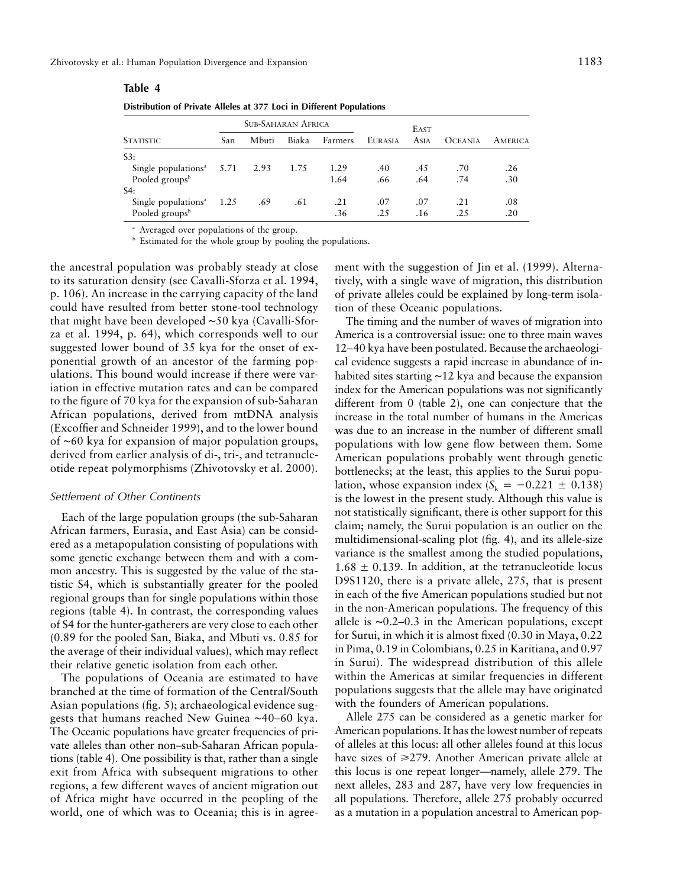| istribution of Private Alleies at 377 Loci in Different Populations |                           |       |       |         |                |      |                |         |
|---------------------------------------------------------------------|---------------------------|-------|-------|---------|----------------|------|----------------|---------|
| <b>ATISTIC</b>                                                      | <b>SUB-SAHARAN AFRICA</b> |       |       |         | <b>EAST</b>    |      |                |         |
|                                                                     | San                       | Mbuti | Biaka | Farmers | <b>EURASIA</b> | ASIA | <b>OCEANIA</b> | AMERICA |
|                                                                     |                           |       |       |         |                |      |                |         |
| Single populations <sup><math>3.71</math></sup>                     |                           | 2.93  | 1.75  | 1.29    | .40            | .45  | .70            | .26     |
| Pooled groups <sup>b</sup>                                          |                           |       |       | 1.64    | .66            | .64  | .74            | .30     |
|                                                                     |                           |       |       |         |                |      |                |         |
| Single populations $\frac{3}{2}$ 1.25                               |                           | .69   | .61   | .21     | .07            | .07  | .21            | .08     |
| Pooled groups <sup>b</sup>                                          |                           |       |       | .36     | .25            | .16  | .25            | .20     |

**STAT** 

S3:

 $S4.$ 

**Distribution of Private Alleles at 377 Loci in Different Populations**

Averaged over populations of the group.

**b** Estimated for the whole group by pooling the populations.

the ancestral population was probably steady at close to its saturation density (see Cavalli-Sforza et al. 1994, p. 106). An increase in the carrying capacity of the land could have resulted from better stone-tool technology that might have been developed ∼50 kya (Cavalli-Sforza et al. 1994, p. 64), which corresponds well to our suggested lower bound of 35 kya for the onset of exponential growth of an ancestor of the farming populations. This bound would increase if there were variation in effective mutation rates and can be compared to the figure of 70 kya for the expansion of sub-Saharan African populations, derived from mtDNA analysis (Excoffier and Schneider 1999), and to the lower bound of ∼60 kya for expansion of major population groups, derived from earlier analysis of di-, tri-, and tetranucleotide repeat polymorphisms (Zhivotovsky et al. 2000).

#### *Settlement of Other Continents*

Each of the large population groups (the sub-Saharan African farmers, Eurasia, and East Asia) can be considered as a metapopulation consisting of populations with some genetic exchange between them and with a common ancestry. This is suggested by the value of the statistic S4, which is substantially greater for the pooled regional groups than for single populations within those regions (table 4). In contrast, the corresponding values of S4 for the hunter-gatherers are very close to each other (0.89 for the pooled San, Biaka, and Mbuti vs. 0.85 for the average of their individual values), which may reflect their relative genetic isolation from each other.

The populations of Oceania are estimated to have branched at the time of formation of the Central/South Asian populations (fig. 5); archaeological evidence suggests that humans reached New Guinea ∼40–60 kya. The Oceanic populations have greater frequencies of private alleles than other non–sub-Saharan African populations (table 4). One possibility is that, rather than a single exit from Africa with subsequent migrations to other regions, a few different waves of ancient migration out of Africa might have occurred in the peopling of the world, one of which was to Oceania; this is in agreement with the suggestion of Jin et al. (1999). Alternatively, with a single wave of migration, this distribution of private alleles could be explained by long-term isolation of these Oceanic populations.

The timing and the number of waves of migration into America is a controversial issue: one to three main waves 12–40 kya have been postulated. Because the archaeological evidence suggests a rapid increase in abundance of inhabited sites starting ∼12 kya and because the expansion index for the American populations was not significantly different from 0 (table 2), one can conjecture that the increase in the total number of humans in the Americas was due to an increase in the number of different small populations with low gene flow between them. Some American populations probably went through genetic bottlenecks; at the least, this applies to the Surui population, whose expansion index  $(S_k = -0.221 \pm 0.138)$ is the lowest in the present study. Although this value is not statistically significant, there is other support for this claim; namely, the Surui population is an outlier on the multidimensional-scaling plot (fig. 4), and its allele-size variance is the smallest among the studied populations,  $1.68 \pm 0.139$ . In addition, at the tetranucleotide locus D9S1120, there is a private allele, 275, that is present in each of the five American populations studied but not in the non-American populations. The frequency of this allele is ∼0.2–0.3 in the American populations, except for Surui, in which it is almost fixed (0.30 in Maya, 0.22 in Pima, 0.19 in Colombians, 0.25 in Karitiana, and 0.97 in Surui). The widespread distribution of this allele within the Americas at similar frequencies in different populations suggests that the allele may have originated with the founders of American populations.

Allele 275 can be considered as a genetic marker for American populations. It has the lowest number of repeats of alleles at this locus: all other alleles found at this locus have sizes of ≥279. Another American private allele at this locus is one repeat longer—namely, allele 279. The next alleles, 283 and 287, have very low frequencies in all populations. Therefore, allele 275 probably occurred as a mutation in a population ancestral to American pop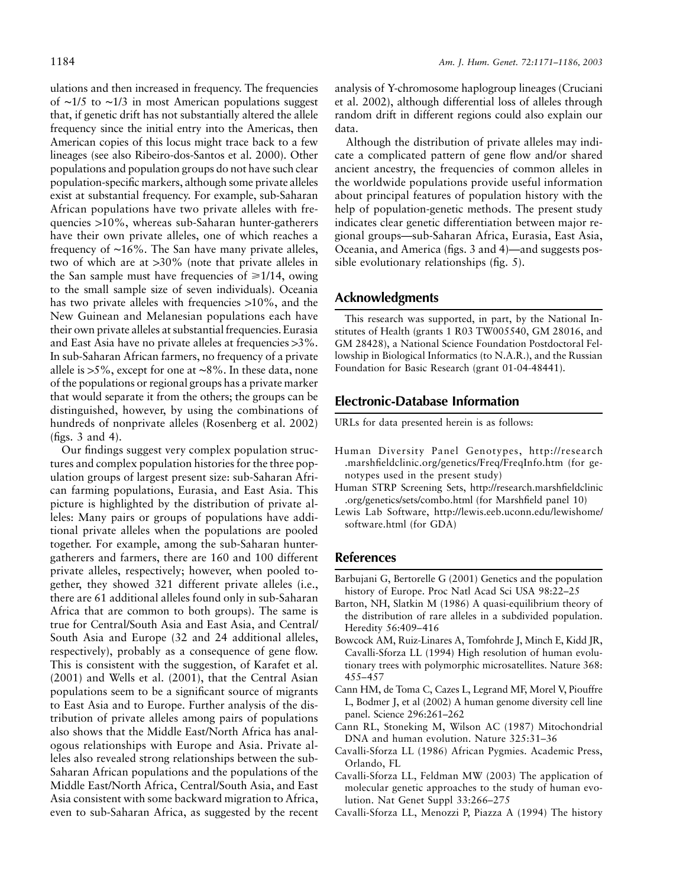ulations and then increased in frequency. The frequencies of ∼1/5 to ∼1/3 in most American populations suggest that, if genetic drift has not substantially altered the allele frequency since the initial entry into the Americas, then American copies of this locus might trace back to a few lineages (see also Ribeiro-dos-Santos et al. 2000). Other populations and population groups do not have such clear population-specific markers, although some private alleles exist at substantial frequency. For example, sub-Saharan African populations have two private alleles with frequencies >10%, whereas sub-Saharan hunter-gatherers have their own private alleles, one of which reaches a frequency of ∼16%. The San have many private alleles, two of which are at  $>30\%$  (note that private alleles in the San sample must have frequencies of  $\geq 1/14$ , owing to the small sample size of seven individuals). Oceania has two private alleles with frequencies  $>10\%$ , and the New Guinean and Melanesian populations each have their own private alleles at substantial frequencies.Eurasia and East Asia have no private alleles at frequencies  $>3\%$ . In sub-Saharan African farmers, no frequency of a private allele is <sup>1</sup>5%, except for one at ∼8%. In these data, none of the populations or regional groups has a private marker that would separate it from the others; the groups can be distinguished, however, by using the combinations of hundreds of nonprivate alleles (Rosenberg et al. 2002) (figs. 3 and 4).

Our findings suggest very complex population structures and complex population histories for the three population groups of largest present size: sub-Saharan African farming populations, Eurasia, and East Asia. This picture is highlighted by the distribution of private alleles: Many pairs or groups of populations have additional private alleles when the populations are pooled together. For example, among the sub-Saharan huntergatherers and farmers, there are 160 and 100 different private alleles, respectively; however, when pooled together, they showed 321 different private alleles (i.e., there are 61 additional alleles found only in sub-Saharan Africa that are common to both groups). The same is true for Central/South Asia and East Asia, and Central/ South Asia and Europe (32 and 24 additional alleles, respectively), probably as a consequence of gene flow. This is consistent with the suggestion, of Karafet et al. (2001) and Wells et al. (2001), that the Central Asian populations seem to be a significant source of migrants to East Asia and to Europe. Further analysis of the distribution of private alleles among pairs of populations also shows that the Middle East/North Africa has analogous relationships with Europe and Asia. Private alleles also revealed strong relationships between the sub-Saharan African populations and the populations of the Middle East/North Africa, Central/South Asia, and East Asia consistent with some backward migration to Africa, even to sub-Saharan Africa, as suggested by the recent

analysis of Y-chromosome haplogroup lineages (Cruciani et al. 2002), although differential loss of alleles through random drift in different regions could also explain our data.

Although the distribution of private alleles may indicate a complicated pattern of gene flow and/or shared ancient ancestry, the frequencies of common alleles in the worldwide populations provide useful information about principal features of population history with the help of population-genetic methods. The present study indicates clear genetic differentiation between major regional groups—sub-Saharan Africa, Eurasia, East Asia, Oceania, and America (figs. 3 and 4)—and suggests possible evolutionary relationships (fig. 5).

# **Acknowledgments**

This research was supported, in part, by the National Institutes of Health (grants 1 R03 TW005540, GM 28016, and GM 28428), a National Science Foundation Postdoctoral Fellowship in Biological Informatics (to N.A.R.), and the Russian Foundation for Basic Research (grant 01-04-48441).

# **Electronic-Database Information**

URLs for data presented herein is as follows:

- Human Diversity Panel Genotypes, http://research .marshfieldclinic.org/genetics/Freq/FreqInfo.htm (for genotypes used in the present study)
- Human STRP Screening Sets, http://research.marshfieldclinic .org/genetics/sets/combo.html (for Marshfield panel 10)
- Lewis Lab Software, http://lewis.eeb.uconn.edu/lewishome/ software.html (for GDA)

# **References**

- Barbujani G, Bertorelle G (2001) Genetics and the population history of Europe. Proc Natl Acad Sci USA 98:22–25
- Barton, NH, Slatkin M (1986) A quasi-equilibrium theory of the distribution of rare alleles in a subdivided population. Heredity 56:409–416
- Bowcock AM, Ruiz-Linares A, Tomfohrde J, Minch E, Kidd JR, Cavalli-Sforza LL (1994) High resolution of human evolutionary trees with polymorphic microsatellites. Nature 368: 455–457
- Cann HM, de Toma C, Cazes L, Legrand MF, Morel V, Piouffre L, Bodmer J, et al (2002) A human genome diversity cell line panel. Science 296:261–262
- Cann RL, Stoneking M, Wilson AC (1987) Mitochondrial DNA and human evolution. Nature 325:31–36
- Cavalli-Sforza LL (1986) African Pygmies. Academic Press, Orlando, FL
- Cavalli-Sforza LL, Feldman MW (2003) The application of molecular genetic approaches to the study of human evolution. Nat Genet Suppl 33:266–275
- Cavalli-Sforza LL, Menozzi P, Piazza A (1994) The history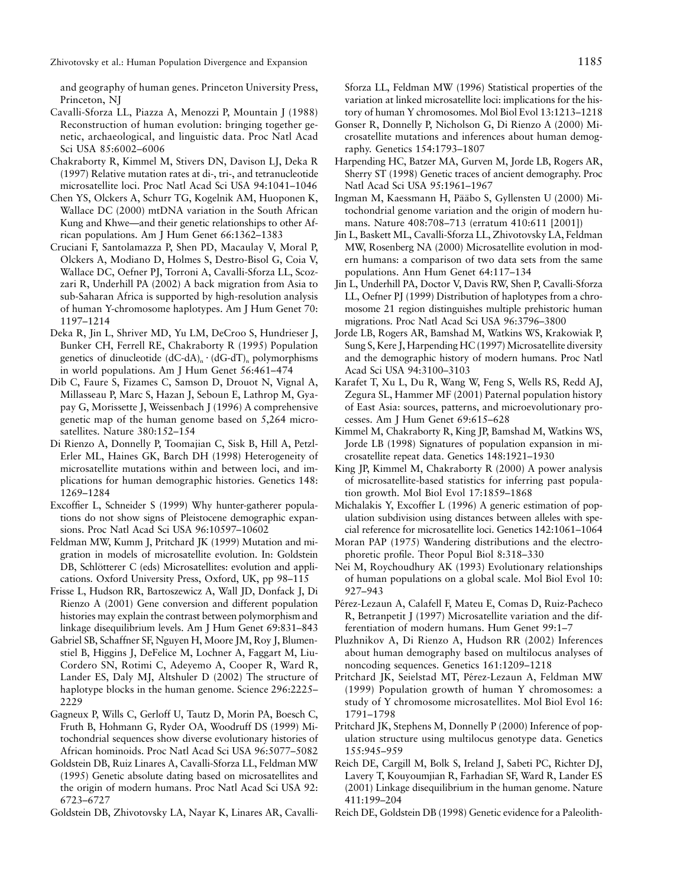Zhivotovsky et al.: Human Population Divergence and Expansion 1185

and geography of human genes. Princeton University Press, Princeton, NJ

- Cavalli-Sforza LL, Piazza A, Menozzi P, Mountain J (1988) Reconstruction of human evolution: bringing together genetic, archaeological, and linguistic data. Proc Natl Acad Sci USA 85:6002–6006
- Chakraborty R, Kimmel M, Stivers DN, Davison LJ, Deka R (1997) Relative mutation rates at di-, tri-, and tetranucleotide microsatellite loci. Proc Natl Acad Sci USA 94:1041–1046
- Chen YS, Olckers A, Schurr TG, Kogelnik AM, Huoponen K, Wallace DC (2000) mtDNA variation in the South African Kung and Khwe—and their genetic relationships to other African populations. Am J Hum Genet 66:1362–1383
- Cruciani F, Santolamazza P, Shen PD, Macaulay V, Moral P, Olckers A, Modiano D, Holmes S, Destro-Bisol G, Coia V, Wallace DC, Oefner PJ, Torroni A, Cavalli-Sforza LL, Scozzari R, Underhill PA (2002) A back migration from Asia to sub-Saharan Africa is supported by high-resolution analysis of human Y-chromosome haplotypes. Am J Hum Genet 70: 1197–1214
- Deka R, Jin L, Shriver MD, Yu LM, DeCroo S, Hundrieser J, Bunker CH, Ferrell RE, Chakraborty R (1995) Population genetics of dinucleotide  $(dC-dA)_{n} \cdot (dG-dT)_{n}$  polymorphisms in world populations. Am J Hum Genet 56:461–474
- Dib C, Faure S, Fizames C, Samson D, Drouot N, Vignal A, Millasseau P, Marc S, Hazan J, Seboun E, Lathrop M, Gyapay G, Morissette J, Weissenbach J (1996) A comprehensive genetic map of the human genome based on 5,264 microsatellites. Nature 380:152–154
- Di Rienzo A, Donnelly P, Toomajian C, Sisk B, Hill A, Petzl-Erler ML, Haines GK, Barch DH (1998) Heterogeneity of microsatellite mutations within and between loci, and implications for human demographic histories. Genetics 148: 1269–1284
- Excoffier L, Schneider S (1999) Why hunter-gatherer populations do not show signs of Pleistocene demographic expansions. Proc Natl Acad Sci USA 96:10597–10602
- Feldman MW, Kumm J, Pritchard JK (1999) Mutation and migration in models of microsatellite evolution. In: Goldstein DB, Schlötterer C (eds) Microsatellites: evolution and applications. Oxford University Press, Oxford, UK, pp 98–115
- Frisse L, Hudson RR, Bartoszewicz A, Wall JD, Donfack J, Di Rienzo A (2001) Gene conversion and different population histories may explain the contrast between polymorphism and linkage disequilibrium levels. Am J Hum Genet 69:831–843
- Gabriel SB, Schaffner SF, Nguyen H, Moore JM, Roy J, Blumenstiel B, Higgins J, DeFelice M, Lochner A, Faggart M, Liu-Cordero SN, Rotimi C, Adeyemo A, Cooper R, Ward R, Lander ES, Daly MJ, Altshuler D (2002) The structure of haplotype blocks in the human genome. Science 296:2225– 2229
- Gagneux P, Wills C, Gerloff U, Tautz D, Morin PA, Boesch C, Fruth B, Hohmann G, Ryder OA, Woodruff DS (1999) Mitochondrial sequences show diverse evolutionary histories of African hominoids. Proc Natl Acad Sci USA 96:5077–5082
- Goldstein DB, Ruiz Linares A, Cavalli-Sforza LL, Feldman MW (1995) Genetic absolute dating based on microsatellites and the origin of modern humans. Proc Natl Acad Sci USA 92: 6723–6727
- Goldstein DB, Zhivotovsky LA, Nayar K, Linares AR, Cavalli-

Sforza LL, Feldman MW (1996) Statistical properties of the variation at linked microsatellite loci: implications for the history of human Y chromosomes. Mol Biol Evol 13:1213–1218

- Gonser R, Donnelly P, Nicholson G, Di Rienzo A (2000) Microsatellite mutations and inferences about human demography. Genetics 154:1793–1807
- Harpending HC, Batzer MA, Gurven M, Jorde LB, Rogers AR, Sherry ST (1998) Genetic traces of ancient demography. Proc Natl Acad Sci USA 95:1961–1967
- Ingman M, Kaessmann H, Pääbo S, Gyllensten U (2000) Mitochondrial genome variation and the origin of modern humans. Nature 408:708–713 (erratum 410:611 [2001])
- Jin L, Baskett ML, Cavalli-Sforza LL, Zhivotovsky LA, Feldman MW, Rosenberg NA (2000) Microsatellite evolution in modern humans: a comparison of two data sets from the same populations. Ann Hum Genet 64:117–134
- Jin L, Underhill PA, Doctor V, Davis RW, Shen P, Cavalli-Sforza LL, Oefner PJ (1999) Distribution of haplotypes from a chromosome 21 region distinguishes multiple prehistoric human migrations. Proc Natl Acad Sci USA 96:3796–3800
- Jorde LB, Rogers AR, Bamshad M, Watkins WS, Krakowiak P, Sung S, Kere J, Harpending HC (1997) Microsatellite diversity and the demographic history of modern humans. Proc Natl Acad Sci USA 94:3100–3103
- Karafet T, Xu L, Du R, Wang W, Feng S, Wells RS, Redd AJ, Zegura SL, Hammer MF (2001) Paternal population history of East Asia: sources, patterns, and microevolutionary processes. Am J Hum Genet 69:615–628
- Kimmel M, Chakraborty R, King JP, Bamshad M, Watkins WS, Jorde LB (1998) Signatures of population expansion in microsatellite repeat data. Genetics 148:1921–1930
- King JP, Kimmel M, Chakraborty R (2000) A power analysis of microsatellite-based statistics for inferring past population growth. Mol Biol Evol 17:1859–1868
- Michalakis Y, Excoffier L (1996) A generic estimation of population subdivision using distances between alleles with special reference for microsatellite loci. Genetics 142:1061–1064
- Moran PAP (1975) Wandering distributions and the electrophoretic profile. Theor Popul Biol 8:318–330
- Nei M, Roychoudhury AK (1993) Evolutionary relationships of human populations on a global scale. Mol Biol Evol 10: 927–943
- Pérez-Lezaun A, Calafell F, Mateu E, Comas D, Ruiz-Pacheco R, Betranpetit J (1997) Microsatellite variation and the differentiation of modern humans. Hum Genet 99:1–7
- Pluzhnikov A, Di Rienzo A, Hudson RR (2002) Inferences about human demography based on multilocus analyses of noncoding sequences. Genetics 161:1209–1218
- Pritchard JK, Seielstad MT, Pérez-Lezaun A, Feldman MW (1999) Population growth of human Y chromosomes: a study of Y chromosome microsatellites. Mol Biol Evol 16: 1791–1798
- Pritchard JK, Stephens M, Donnelly P (2000) Inference of population structure using multilocus genotype data. Genetics 155:945–959
- Reich DE, Cargill M, Bolk S, Ireland J, Sabeti PC, Richter DJ, Lavery T, Kouyoumjian R, Farhadian SF, Ward R, Lander ES (2001) Linkage disequilibrium in the human genome. Nature 411:199–204
- Reich DE, Goldstein DB (1998) Genetic evidence for a Paleolith-